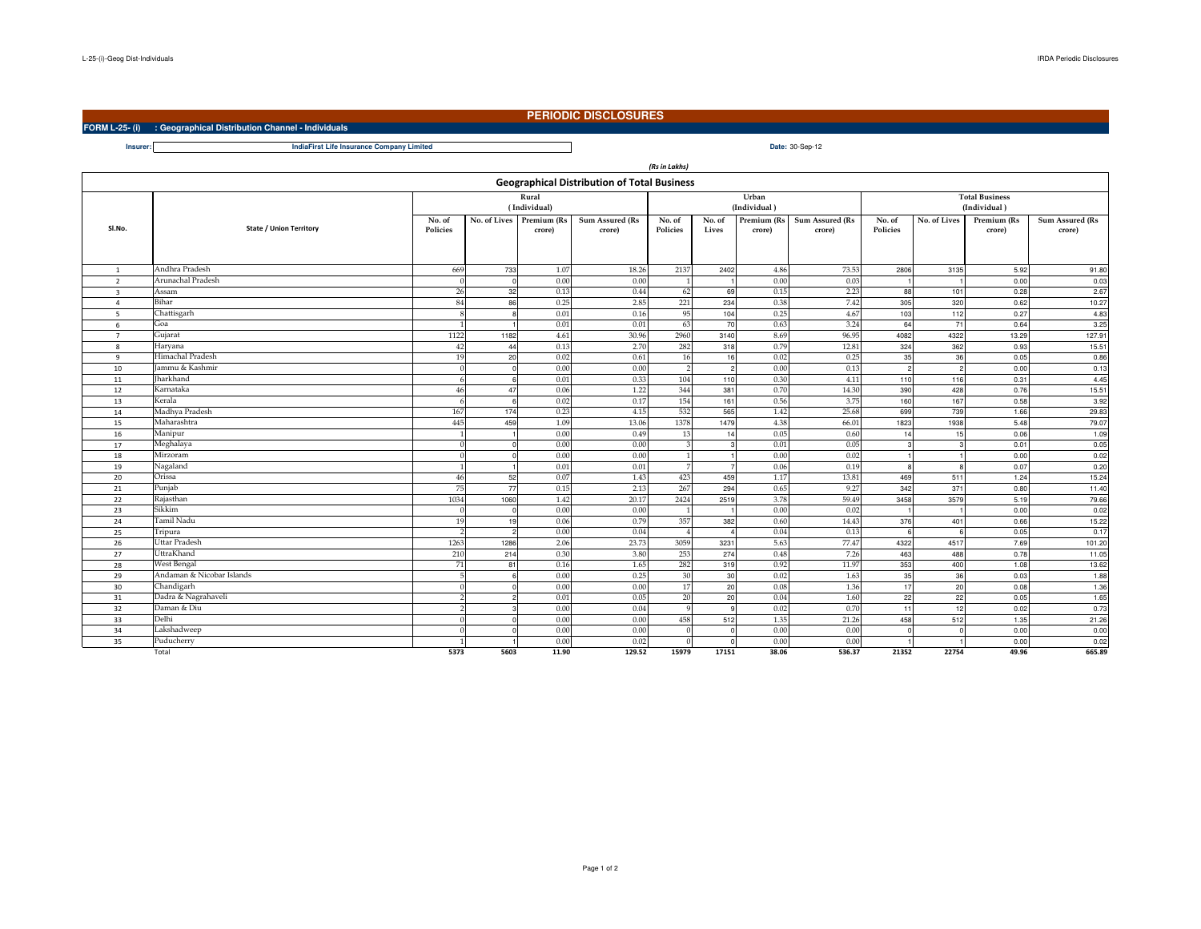**Insurer:**

## **PERIODIC DISCLOSURES**

**FORM L-25- (i) : Geographical Distribution Channel - Individuals**

**Date:** 30-Sep-12**IndiaFirst Life Insurance Company Limited**

| (Rs in Lakhs)                                      |                                |                        |                |              |                 |                         |                |              |                 |                       |              |              |                 |  |
|----------------------------------------------------|--------------------------------|------------------------|----------------|--------------|-----------------|-------------------------|----------------|--------------|-----------------|-----------------------|--------------|--------------|-----------------|--|
| <b>Geographical Distribution of Total Business</b> |                                |                        |                |              |                 |                         |                |              |                 |                       |              |              |                 |  |
|                                                    |                                |                        |                | Rural        |                 | Urban                   |                |              |                 | <b>Total Business</b> |              |              |                 |  |
|                                                    |                                |                        |                | (Individual) |                 | (Individual)            |                |              |                 |                       |              | (Individual) |                 |  |
|                                                    |                                | No. of Lives<br>No. of |                | Premium (Rs  | Sum Assured (Rs | No. of                  | No. of         | Premium (Rs  | Sum Assured (Rs | No. of                | No. of Lives | Premium (Rs  | Sum Assured (Rs |  |
| Sl.No.                                             | <b>State / Union Territory</b> | Policies               |                | crore)       | crore)          | Policies                | Lives          | crore)       | crore)          | Policies              |              | crore)       | crore)          |  |
|                                                    |                                |                        |                |              |                 |                         |                |              |                 |                       |              |              |                 |  |
|                                                    |                                |                        |                |              |                 |                         |                |              |                 |                       |              |              |                 |  |
| 1                                                  | Andhra Pradesh                 | 669                    | 733            | 1.07         | 18.26           | 2137                    | 2402           | 4.86         | 73.53           | 2806                  | 3135         | 5.92         | 91.80           |  |
| $\overline{2}$                                     | Arunachal Pradesh              | £                      | $\Omega$       | 0.00         | 0.00            |                         |                | 0.00         | 0.03            |                       |              | 0.00         | 0.03            |  |
| $\overline{\mathbf{3}}$                            | Assam                          | 26                     | 32             | 0.13         | 0.44            | 62                      | 69             | 0.15         | 2.23            | 88                    | 101          | 0.28         | 2.67            |  |
| $\overline{4}$                                     | Bihar                          | 84                     | 86             | 0.25         | 2.85            | 221                     | 234            | 0.38         | 7.42            | 305                   | 320          | 0.62         | 10.27           |  |
| 5                                                  | Chattisgarh                    |                        |                | 0.01         | 0.16            | 95                      | 104            | 0.25         | 4.67            | 103                   | 112          | 0.27         | 4.83            |  |
| -6                                                 | Goa                            |                        |                | 0.01         | 0.01            | 63                      | 70             | 0.63         | 3.24            | 64                    | 71           | 0.64         | 3.25            |  |
| $\overline{7}$                                     | Gujarat                        | 1122                   | 1182           | 4.61         | 30.96           | 2960                    | 3140           | 8.69         | 96.95           | 4082                  | 4322         | 13.29        | 127.91          |  |
| 8                                                  | Haryana                        | 42                     | 44             | 0.13         | 2.70            | 282                     | 318            | 0.79         | 12.81           | 324                   | 362          | 0.93         | 15.51           |  |
| $\overline{9}$                                     | Himachal Pradesh               | 19                     | 20             | 0.02         | 0.61            | 16                      | 16             | 0.02         | 0.25            | 35                    | 36           | 0.05         | 0.86            |  |
| 10                                                 | Jammu & Kashmir                | $\Omega$               |                | 0.00         | 0.00            | $\overline{2}$          | $\overline{c}$ | 0.00         | 0.13            | $\mathfrak{p}$        |              | 0.00         | 0.13            |  |
| 11                                                 | <b>Iharkhand</b>               |                        |                | 0.01         | 0.33            | 104                     | 110            | 0.30         | 4.11            | 110                   | 116          | 0.31         | 4.45            |  |
| 12                                                 | Karnataka                      | 46                     | 47             | 0.06         | 1.22            | 344                     | 381            | 0.70         | 14.30           | 390                   | 428          | 0.76         | 15.51           |  |
| 13                                                 | Kerala                         | 6                      |                | 0.02         | 0.17            | 154                     | 161            | 0.56         | 3.75            | 160                   | 167          | 0.58         | 3.92            |  |
| 14                                                 | Madhya Pradesh                 | 167                    | 174            | 0.23         | 4.15            | 532                     | 565            | 1.42         | 25.68           | 699                   | 739          | 1.66         | 29.83           |  |
| 15                                                 | Maharashtra                    | 445                    | 459            | 1.09         | 13.06           | 1378                    | 1479           | 4.38         | 66.01           | 1823                  | 1938         | 5.48         | 79.07           |  |
| 16                                                 | Manipur                        |                        |                | 0.00         | 0.49            | 13                      | 14             | 0.05         | 0.60            | 14                    | 15           | 0.06         | 1.09            |  |
| 17                                                 | Meghalaya                      | $\Omega$               |                | 0.00         | 0.00            | $\overline{\mathbf{3}}$ |                | 0.01         | 0.05            |                       |              | 0.01         | 0.05            |  |
| 18                                                 | Mirzoram                       | $\Omega$               |                | 0.00         | 0.00            | $\mathbf{1}$            |                | 0.00         | 0.02            |                       |              | 0.00         | 0.02            |  |
| 19                                                 | Nagaland                       |                        |                | 0.01         | 0.01            | $\overline{7}$          |                | 0.06         | 0.19            |                       |              | 0.07         | 0.20            |  |
| 20                                                 | Orissa                         | 46                     | 52             | 0.07         | 1.43            | 423                     | 459            | 1.17         | 13.81           | 469                   | 511          | 1.24         | 15.24           |  |
| 21                                                 | Punjab                         | 75                     | 77             | 0.15         | 2.13            | 267                     | 294            | 0.65         | 9.27            | 342                   | 371          | 0.80         | 11.40           |  |
| 22                                                 | Rajasthan                      | 1034                   | 1060           | 1.42         | 20.17           | 2424                    | 2519           | 3.78         | 59.49           | 3458                  | 3579         | 5.19         | 79.66           |  |
| 23                                                 | Sikkim                         | $\Omega$               |                | 0.00         | 0.00            |                         |                | 0.00         | 0.02            |                       |              | 0.00         | 0.02            |  |
| 24                                                 | Tamil Nadu                     | 19                     | 19             | 0.06         | 0.79            | 357                     | 382            | 0.60         | 14.43           | 376                   | 401          | 0.66         | 15.22           |  |
| 25                                                 | Tripura                        |                        | $\mathfrak{D}$ | 0.00         | 0.04            | $\overline{4}$          |                | 0.04         | 0.13            |                       |              | 0.05         | 0.17            |  |
| 26                                                 | <b>Uttar Pradesh</b>           | 1263                   | 1286           | 2.06         | 23.73           | 3059                    | 3231           | 5.63         | 77.47           | 4322                  | 4517         | 7.69         | 101.20          |  |
| 27                                                 | UttraKhand                     | 210                    | 214            | 0.30         | 3.80            | 253                     | 274            | 0.48         | 7.26            | 463                   | 488          | 0.78         | 11.05           |  |
| 28                                                 | West Bengal                    | 71                     | 81             | 0.16         | 1.65            | 282                     | 319            | 0.92         | 11.97           | 353                   | 400          | 1.08         | 13.62           |  |
| 29                                                 | Andaman & Nicobar Islands      | 5                      |                | 0.00         | 0.25            | 30                      | 30             | 0.02         | 1.63            | 35                    | 36           | 0.03         | 1.88            |  |
| 30                                                 | Chandigarh                     | $\Omega$               |                | 0.00         | 0.00            | 17                      | 20             | 0.08         | 1.36            | 17                    | 20           | 0.08         | 1.36            |  |
| 31                                                 | Dadra & Nagrahaveli            | $\mathcal{D}$          |                | 0.01         | 0.05            | 20                      | 20             | 0.04         | 1.60            | 22                    | 22           | 0.05         | 1.65            |  |
| 32                                                 | Daman & Diu<br>Delhi           | $\mathcal{D}$          |                | 0.00<br>0.00 | 0.04            | 9<br>458                | q              | 0.02<br>1.35 | 0.70<br>21.26   | 11<br>458             | 12           | 0.02<br>1.35 | 0.73            |  |
| 33                                                 | Lakshadweep                    | $\Omega$<br>$\Omega$   |                | 0.00         | 0.00            | $\Omega$                | 512            |              | 0.00            | $\mathsf{r}$          | 512          |              | 21.26           |  |
| 34                                                 | Puducherry                     |                        |                |              | 0.00            |                         |                | 0.00         |                 |                       |              | 0.00         | 0.00            |  |
| 35                                                 |                                |                        |                | 0.00         | 0.02            | $\Omega$                |                | 0.00         | 0.00            |                       |              | 0.00         | 0.02            |  |
|                                                    | Total                          | 5373                   | 5603           | 11.90        | 129.52          | 15979                   | 17151          | 38.06        | 536.37          | 21352                 | 22754        | 49.96        | 665.89          |  |